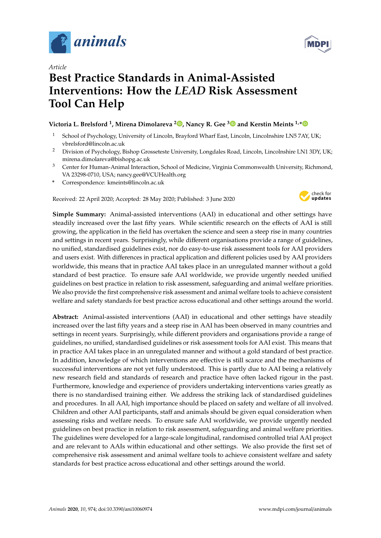

*Article*

# **Best Practice Standards in Animal-Assisted Interventions: How the** *LEAD* **Risk Assessment Tool Can Help**

# **Victoria L. Brelsford <sup>1</sup> , Mirena Dimolareva <sup>2</sup> [,](https://orcid.org/0000-0001-7674-1903) Nancy R. Gee [3](https://orcid.org/0000-0003-2890-9884) and Kerstin Meints 1,[\\*](https://orcid.org/0000-0003-1048-5091)**

- <sup>1</sup> School of Psychology, University of Lincoln, Brayford Wharf East, Lincoln, Lincolnshire LN5 7AY, UK; vbrelsford@lincoln.ac.uk
- <sup>2</sup> Division of Psychology, Bishop Grosseteste University, Longdales Road, Lincoln, Lincolnshire LN1 3DY, UK; mirena.dimolareva@bishopg.ac.uk
- <sup>3</sup> Center for Human-Animal Interaction, School of Medicine, Virginia Commonwealth University, Richmond, VA 23298-0710, USA; nancy.gee@VCUHealth.org
- **\*** Correspondence: kmeints@lincoln.ac.uk

Received: 22 April 2020; Accepted: 28 May 2020; Published: 3 June 2020



**Simple Summary:** Animal-assisted interventions (AAI) in educational and other settings have steadily increased over the last fifty years. While scientific research on the effects of AAI is still growing, the application in the field has overtaken the science and seen a steep rise in many countries and settings in recent years. Surprisingly, while different organisations provide a range of guidelines, no unified, standardised guidelines exist, nor do easy-to-use risk assessment tools for AAI providers and users exist. With differences in practical application and different policies used by AAI providers worldwide, this means that in practice AAI takes place in an unregulated manner without a gold standard of best practice. To ensure safe AAI worldwide, we provide urgently needed unified guidelines on best practice in relation to risk assessment, safeguarding and animal welfare priorities. We also provide the first comprehensive risk assessment and animal welfare tools to achieve consistent welfare and safety standards for best practice across educational and other settings around the world.

**Abstract:** Animal-assisted interventions (AAI) in educational and other settings have steadily increased over the last fifty years and a steep rise in AAI has been observed in many countries and settings in recent years. Surprisingly, while different providers and organisations provide a range of guidelines, no unified, standardised guidelines or risk assessment tools for AAI exist. This means that in practice AAI takes place in an unregulated manner and without a gold standard of best practice. In addition, knowledge of which interventions are effective is still scarce and the mechanisms of successful interventions are not yet fully understood. This is partly due to AAI being a relatively new research field and standards of research and practice have often lacked rigour in the past. Furthermore, knowledge and experience of providers undertaking interventions varies greatly as there is no standardised training either. We address the striking lack of standardised guidelines and procedures. In all AAI, high importance should be placed on safety and welfare of all involved. Children and other AAI participants, staff and animals should be given equal consideration when assessing risks and welfare needs. To ensure safe AAI worldwide, we provide urgently needed guidelines on best practice in relation to risk assessment, safeguarding and animal welfare priorities. The guidelines were developed for a large-scale longitudinal, randomised controlled trial AAI project and are relevant to AAIs within educational and other settings. We also provide the first set of comprehensive risk assessment and animal welfare tools to achieve consistent welfare and safety standards for best practice across educational and other settings around the world.

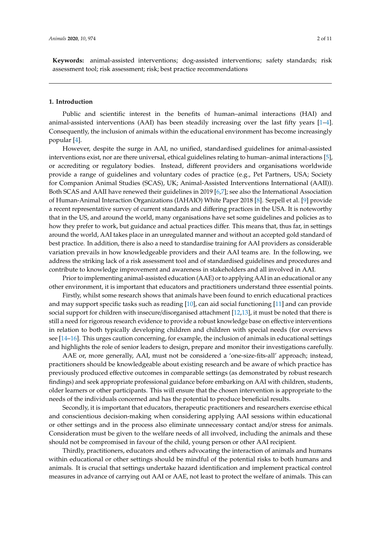**Keywords:** animal-assisted interventions; dog-assisted interventions; safety standards; risk assessment tool; risk assessment; risk; best practice recommendations

## **1. Introduction**

Public and scientific interest in the benefits of human–animal interactions (HAI) and animal-assisted interventions (AAI) has been steadily increasing over the last fifty years [\[1](#page-8-0)[–4\]](#page-8-1). Consequently, the inclusion of animals within the educational environment has become increasingly popular [\[4\]](#page-8-1).

However, despite the surge in AAI, no unified, standardised guidelines for animal-assisted interventions exist, nor are there universal, ethical guidelines relating to human–animal interactions [\[5\]](#page-8-2), or accrediting or regulatory bodies. Instead, different providers and organisations worldwide provide a range of guidelines and voluntary codes of practice (e.g., Pet Partners, USA; Society for Companion Animal Studies (SCAS), UK; Animal-Assisted Interventions International (AAII)). Both SCAS and AAII have renewed their guidelines in 2019 [\[6,](#page-8-3)[7\]](#page-8-4); see also the International Association of Human-Animal Interaction Organizations (IAHAIO) White Paper 2018 [\[8\]](#page-8-5). Serpell et al. [\[9\]](#page-8-6) provide a recent representative survey of current standards and differing practices in the USA. It is noteworthy that in the US, and around the world, many organisations have set some guidelines and policies as to how they prefer to work, but guidance and actual practices differ. This means that, thus far, in settings around the world, AAI takes place in an unregulated manner and without an accepted gold standard of best practice. In addition, there is also a need to standardise training for AAI providers as considerable variation prevails in how knowledgeable providers and their AAI teams are. In the following, we address the striking lack of a risk assessment tool and of standardised guidelines and procedures and contribute to knowledge improvement and awareness in stakeholders and all involved in AAI.

Prior to implementing animal-assisted education (AAE) or to applying AAI in an educational or any other environment, it is important that educators and practitioners understand three essential points.

Firstly, whilst some research shows that animals have been found to enrich educational practices and may support specific tasks such as reading [\[10\]](#page-8-7), can aid social functioning [\[11\]](#page-9-0) and can provide social support for children with insecure/disorganised attachment [\[12](#page-9-1)[,13\]](#page-9-2), it must be noted that there is still a need for rigorous research evidence to provide a robust knowledge base on effective interventions in relation to both typically developing children and children with special needs (for overviews see [\[14](#page-9-3)[–16\]](#page-9-4). This urges caution concerning, for example, the inclusion of animals in educational settings and highlights the role of senior leaders to design, prepare and monitor their investigations carefully.

AAE or, more generally, AAI, must not be considered a 'one-size-fits-all' approach; instead, practitioners should be knowledgeable about existing research and be aware of which practice has previously produced effective outcomes in comparable settings (as demonstrated by robust research findings) and seek appropriate professional guidance before embarking on AAI with children, students, older learners or other participants. This will ensure that the chosen intervention is appropriate to the needs of the individuals concerned and has the potential to produce beneficial results.

Secondly, it is important that educators, therapeutic practitioners and researchers exercise ethical and conscientious decision-making when considering applying AAI sessions within educational or other settings and in the process also eliminate unnecessary contact and/or stress for animals. Consideration must be given to the welfare needs of all involved, including the animals and these should not be compromised in favour of the child, young person or other AAI recipient.

Thirdly, practitioners, educators and others advocating the interaction of animals and humans within educational or other settings should be mindful of the potential risks to both humans and animals. It is crucial that settings undertake hazard identification and implement practical control measures in advance of carrying out AAI or AAE, not least to protect the welfare of animals. This can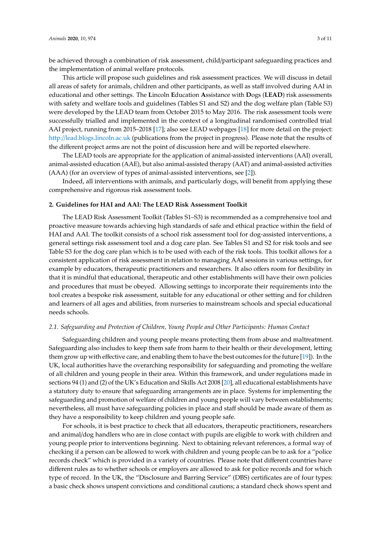be achieved through a combination of risk assessment, child/participant safeguarding practices and the implementation of animal welfare protocols.

This article will propose such guidelines and risk assessment practices. We will discuss in detail all areas of safety for animals, children and other participants, as well as staff involved during AAI in educational and other settings. The **L**incoln **E**ducation **A**ssistance with **D**ogs (**LEAD**) risk assessments with safety and welfare tools and guidelines (Tables S1 and S2) and the dog welfare plan (Table S3) were developed by the LEAD team from October 2015 to May 2016. The risk assessment tools were successfully trialled and implemented in the context of a longitudinal randomised controlled trial AAI project, running from 2015–2018 [\[17\]](#page-9-5); also see LEAD webpages [\[18\]](#page-9-6) for more detail on the project: http://[lead.blogs.lincoln.ac.uk](http://lead.blogs.lincoln.ac.uk) (publications from the project in progress). Please note that the results of the different project arms are not the point of discussion here and will be reported elsewhere.

The LEAD tools are appropriate for the application of animal-assisted interventions (AAI) overall, animal-assisted education (AAE), but also animal-assisted therapy (AAT) and animal-assisted activities (AAA) (for an overview of types of animal-assisted interventions, see [\[2\]](#page-8-8)).

Indeed, all interventions with animals, and particularly dogs, will benefit from applying these comprehensive and rigorous risk assessment tools.

# **2. Guidelines for HAI and AAI: The LEAD Risk Assessment Toolkit**

The LEAD Risk Assessment Toolkit (Tables S1–S3) is recommended as a comprehensive tool and proactive measure towards achieving high standards of safe and ethical practice within the field of HAI and AAI. The toolkit consists of a school risk assessment tool for dog-assisted interventions, a general settings risk assessment tool and a dog care plan. See Tables S1 and S2 for risk tools and see Table S3 for the dog care plan which is to be used with each of the risk tools. This toolkit allows for a consistent application of risk assessment in relation to managing AAI sessions in various settings, for example by educators, therapeutic practitioners and researchers. It also offers room for flexibility in that it is mindful that educational, therapeutic and other establishments will have their own policies and procedures that must be obeyed. Allowing settings to incorporate their requirements into the tool creates a bespoke risk assessment, suitable for any educational or other setting and for children and learners of all ages and abilities, from nurseries to mainstream schools and special educational needs schools.

#### *2.1. Safeguarding and Protection of Children, Young People and Other Participants: Human Contact*

Safeguarding children and young people means protecting them from abuse and maltreatment. Safeguarding also includes to keep them safe from harm to their health or their development, letting them grow up with effective care, and enabling them to have the best outcomes for the future [\[19\]](#page-9-7)). In the UK, local authorities have the overarching responsibility for safeguarding and promoting the welfare of all children and young people in their area. Within this framework, and under regulations made in sections 94 (1) and (2) of the UK's Education and Skills Act 2008 [\[20\]](#page-9-8), all educational establishments have a statutory duty to ensure that safeguarding arrangements are in place. Systems for implementing the safeguarding and promotion of welfare of children and young people will vary between establishments; nevertheless, all must have safeguarding policies in place and staff should be made aware of them as they have a responsibility to keep children and young people safe.

For schools, it is best practice to check that all educators, therapeutic practitioners, researchers and animal/dog handlers who are in close contact with pupils are eligible to work with children and young people prior to interventions beginning. Next to obtaining relevant references, a formal way of checking if a person can be allowed to work with children and young people can be to ask for a "police records check" which is provided in a variety of countries. Please note that different countries have different rules as to whether schools or employers are allowed to ask for police records and for which type of record. In the UK, the "Disclosure and Barring Service" (DBS) certificates are of four types: a basic check shows unspent convictions and conditional cautions; a standard check shows spent and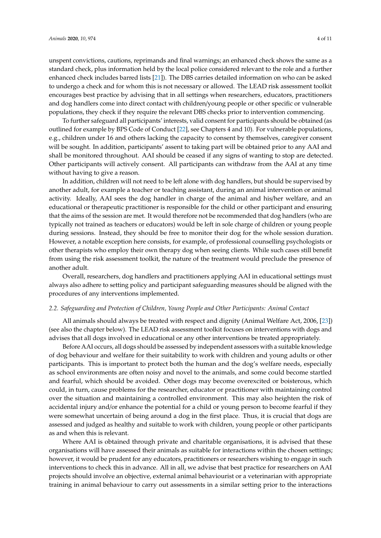unspent convictions, cautions, reprimands and final warnings; an enhanced check shows the same as a standard check, plus information held by the local police considered relevant to the role and a further enhanced check includes barred lists [\[21\]](#page-9-9)). The DBS carries detailed information on who can be asked

to undergo a check and for whom this is not necessary or allowed. The LEAD risk assessment toolkit encourages best practice by advising that in all settings when researchers, educators, practitioners and dog handlers come into direct contact with children/young people or other specific or vulnerable populations, they check if they require the relevant DBS checks prior to intervention commencing.

To further safeguard all participants' interests, valid consent for participants should be obtained (as outlined for example by BPS Code of Conduct [\[22\]](#page-9-10), see Chapters 4 and 10). For vulnerable populations, e.g., children under 16 and others lacking the capacity to consent by themselves, caregiver consent will be sought. In addition, participants' assent to taking part will be obtained prior to any AAI and shall be monitored throughout. AAI should be ceased if any signs of wanting to stop are detected. Other participants will actively consent. All participants can withdraw from the AAI at any time without having to give a reason.

In addition, children will not need to be left alone with dog handlers, but should be supervised by another adult, for example a teacher or teaching assistant, during an animal intervention or animal activity. Ideally, AAI sees the dog handler in charge of the animal and his/her welfare, and an educational or therapeutic practitioner is responsible for the child or other participant and ensuring that the aims of the session are met. It would therefore not be recommended that dog handlers (who are typically not trained as teachers or educators) would be left in sole charge of children or young people during sessions. Instead, they should be free to monitor their dog for the whole session duration. However, a notable exception here consists, for example, of professional counselling psychologists or other therapists who employ their own therapy dog when seeing clients. While such cases still benefit from using the risk assessment toolkit, the nature of the treatment would preclude the presence of another adult.

Overall, researchers, dog handlers and practitioners applying AAI in educational settings must always also adhere to setting policy and participant safeguarding measures should be aligned with the procedures of any interventions implemented.

#### *2.2. Safeguarding and Protection of Children, Young People and Other Participants: Animal Contact*

All animals should always be treated with respect and dignity (Animal Welfare Act, 2006, [\[23\]](#page-9-11)) (see also the chapter below). The LEAD risk assessment toolkit focuses on interventions with dogs and advises that all dogs involved in educational or any other interventions be treated appropriately.

Before AAI occurs, all dogs should be assessed by independent assessors with a suitable knowledge of dog behaviour and welfare for their suitability to work with children and young adults or other participants. This is important to protect both the human and the dog's welfare needs, especially as school environments are often noisy and novel to the animals, and some could become startled and fearful, which should be avoided. Other dogs may become overexcited or boisterous, which could, in turn, cause problems for the researcher, educator or practitioner with maintaining control over the situation and maintaining a controlled environment. This may also heighten the risk of accidental injury and/or enhance the potential for a child or young person to become fearful if they were somewhat uncertain of being around a dog in the first place. Thus, it is crucial that dogs are assessed and judged as healthy and suitable to work with children, young people or other participants as and when this is relevant.

Where AAI is obtained through private and charitable organisations, it is advised that these organisations will have assessed their animals as suitable for interactions within the chosen settings; however, it would be prudent for any educators, practitioners or researchers wishing to engage in such interventions to check this in advance. All in all, we advise that best practice for researchers on AAI projects should involve an objective, external animal behaviourist or a veterinarian with appropriate training in animal behaviour to carry out assessments in a similar setting prior to the interactions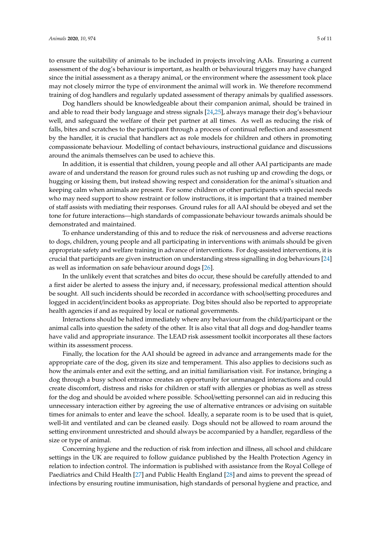to ensure the suitability of animals to be included in projects involving AAIs. Ensuring a current assessment of the dog's behaviour is important, as health or behavioural triggers may have changed since the initial assessment as a therapy animal, or the environment where the assessment took place may not closely mirror the type of environment the animal will work in. We therefore recommend training of dog handlers and regularly updated assessment of therapy animals by qualified assessors.

Dog handlers should be knowledgeable about their companion animal, should be trained in and able to read their body language and stress signals [\[24,](#page-9-12)[25\]](#page-9-13), always manage their dog's behaviour well, and safeguard the welfare of their pet partner at all times. As well as reducing the risk of falls, bites and scratches to the participant through a process of continual reflection and assessment by the handler, it is crucial that handlers act as role models for children and others in promoting compassionate behaviour. Modelling of contact behaviours, instructional guidance and discussions around the animals themselves can be used to achieve this.

In addition, it is essential that children, young people and all other AAI participants are made aware of and understand the reason for ground rules such as not rushing up and crowding the dogs, or hugging or kissing them, but instead showing respect and consideration for the animal's situation and keeping calm when animals are present. For some children or other participants with special needs who may need support to show restraint or follow instructions, it is important that a trained member of staff assists with mediating their responses. Ground rules for all AAI should be obeyed and set the tone for future interactions—high standards of compassionate behaviour towards animals should be demonstrated and maintained.

To enhance understanding of this and to reduce the risk of nervousness and adverse reactions to dogs, children, young people and all participating in interventions with animals should be given appropriate safety and welfare training in advance of interventions. For dog-assisted interventions, it is crucial that participants are given instruction on understanding stress signalling in dog behaviours [\[24\]](#page-9-12) as well as information on safe behaviour around dogs [\[26\]](#page-9-14).

In the unlikely event that scratches and bites do occur, these should be carefully attended to and a first aider be alerted to assess the injury and, if necessary, professional medical attention should be sought. All such incidents should be recorded in accordance with school/setting procedures and logged in accident/incident books as appropriate. Dog bites should also be reported to appropriate health agencies if and as required by local or national governments.

Interactions should be halted immediately where any behaviour from the child/participant or the animal calls into question the safety of the other. It is also vital that all dogs and dog-handler teams have valid and appropriate insurance. The LEAD risk assessment toolkit incorporates all these factors within its assessment process.

Finally, the location for the AAI should be agreed in advance and arrangements made for the appropriate care of the dog, given its size and temperament. This also applies to decisions such as how the animals enter and exit the setting, and an initial familiarisation visit. For instance, bringing a dog through a busy school entrance creates an opportunity for unmanaged interactions and could create discomfort, distress and risks for children or staff with allergies or phobias as well as stress for the dog and should be avoided where possible. School/setting personnel can aid in reducing this unnecessary interaction either by agreeing the use of alternative entrances or advising on suitable times for animals to enter and leave the school. Ideally, a separate room is to be used that is quiet, well-lit and ventilated and can be cleaned easily. Dogs should not be allowed to roam around the setting environment unrestricted and should always be accompanied by a handler, regardless of the size or type of animal.

Concerning hygiene and the reduction of risk from infection and illness, all school and childcare settings in the UK are required to follow guidance published by the Health Protection Agency in relation to infection control. The information is published with assistance from the Royal College of Paediatrics and Child Health [\[27\]](#page-9-15) and Public Health England [\[28\]](#page-9-16) and aims to prevent the spread of infections by ensuring routine immunisation, high standards of personal hygiene and practice, and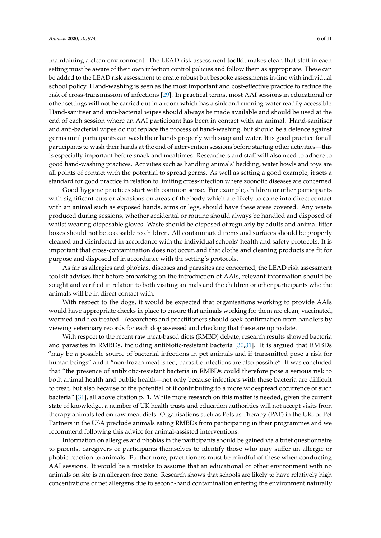maintaining a clean environment. The LEAD risk assessment toolkit makes clear, that staff in each setting must be aware of their own infection control policies and follow them as appropriate. These can be added to the LEAD risk assessment to create robust but bespoke assessments in-line with individual school policy. Hand-washing is seen as the most important and cost-effective practice to reduce the risk of cross-transmission of infections [\[29\]](#page-9-17). In practical terms, most AAI sessions in educational or other settings will not be carried out in a room which has a sink and running water readily accessible. Hand-sanitiser and anti-bacterial wipes should always be made available and should be used at the end of each session where an AAI participant has been in contact with an animal. Hand-sanitiser and anti-bacterial wipes do not replace the process of hand-washing, but should be a defence against germs until participants can wash their hands properly with soap and water. It is good practice for all participants to wash their hands at the end of intervention sessions before starting other activities—this is especially important before snack and mealtimes. Researchers and staff will also need to adhere to good hand-washing practices. Activities such as handling animals' bedding, water bowls and toys are all points of contact with the potential to spread germs. As well as setting a good example, it sets a standard for good practice in relation to limiting cross-infection where zoonotic diseases are concerned.

Good hygiene practices start with common sense. For example, children or other participants with significant cuts or abrasions on areas of the body which are likely to come into direct contact with an animal such as exposed hands, arms or legs, should have these areas covered. Any waste produced during sessions, whether accidental or routine should always be handled and disposed of whilst wearing disposable gloves. Waste should be disposed of regularly by adults and animal litter boxes should not be accessible to children. All contaminated items and surfaces should be properly cleaned and disinfected in accordance with the individual schools' health and safety protocols. It is important that cross-contamination does not occur, and that cloths and cleaning products are fit for purpose and disposed of in accordance with the setting's protocols.

As far as allergies and phobias, diseases and parasites are concerned, the LEAD risk assessment toolkit advises that before embarking on the introduction of AAIs, relevant information should be sought and verified in relation to both visiting animals and the children or other participants who the animals will be in direct contact with.

With respect to the dogs, it would be expected that organisations working to provide AAIs would have appropriate checks in place to ensure that animals working for them are clean, vaccinated, wormed and flea treated. Researchers and practitioners should seek confirmation from handlers by viewing veterinary records for each dog assessed and checking that these are up to date.

With respect to the recent raw meat-based diets (RMBD) debate, research results showed bacteria and parasites in RMBDs, including antibiotic-resistant bacteria [\[30](#page-9-18)[,31\]](#page-9-19). It is argued that RMBDs "may be a possible source of bacterial infections in pet animals and if transmitted pose a risk for human beings" and if "non-frozen meat is fed, parasitic infections are also possible". It was concluded that "the presence of antibiotic-resistant bacteria in RMBDs could therefore pose a serious risk to both animal health and public health—not only because infections with these bacteria are difficult to treat, but also because of the potential of it contributing to a more widespread occurrence of such bacteria" [\[31\]](#page-9-19), all above citation p. 1. While more research on this matter is needed, given the current state of knowledge, a number of UK health trusts and education authorities will not accept visits from therapy animals fed on raw meat diets. Organisations such as Pets as Therapy (PAT) in the UK, or Pet Partners in the USA preclude animals eating RMBDs from participating in their programmes and we recommend following this advice for animal-assisted interventions.

Information on allergies and phobias in the participants should be gained via a brief questionnaire to parents, caregivers or participants themselves to identify those who may suffer an allergic or phobic reaction to animals. Furthermore, practitioners must be mindful of these when conducting AAI sessions. It would be a mistake to assume that an educational or other environment with no animals on site is an allergen-free zone. Research shows that schools are likely to have relatively high concentrations of pet allergens due to second-hand contamination entering the environment naturally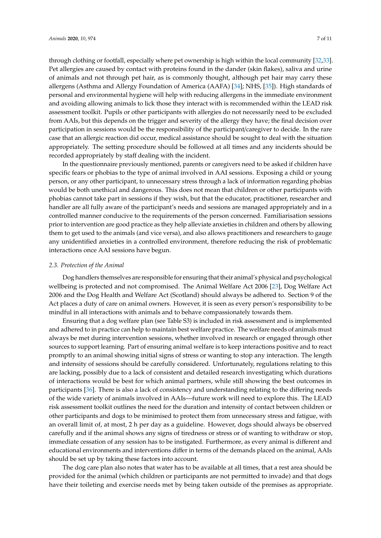through clothing or footfall, especially where pet ownership is high within the local community [\[32](#page-9-20)[,33\]](#page-10-0). Pet allergies are caused by contact with proteins found in the dander (skin flakes), saliva and urine of animals and not through pet hair, as is commonly thought, although pet hair may carry these allergens (Asthma and Allergy Foundation of America (AAFA) [\[34\]](#page-10-1); NHS, [\[35\]](#page-10-2)). High standards of personal and environmental hygiene will help with reducing allergens in the immediate environment and avoiding allowing animals to lick those they interact with is recommended within the LEAD risk assessment toolkit. Pupils or other participants with allergies do not necessarily need to be excluded from AAIs, but this depends on the trigger and severity of the allergy they have; the final decision over participation in sessions would be the responsibility of the participant/caregiver to decide. In the rare case that an allergic reaction did occur, medical assistance should be sought to deal with the situation appropriately. The setting procedure should be followed at all times and any incidents should be recorded appropriately by staff dealing with the incident.

In the questionnaire previously mentioned, parents or caregivers need to be asked if children have specific fears or phobias to the type of animal involved in AAI sessions. Exposing a child or young person, or any other participant, to unnecessary stress through a lack of information regarding phobias would be both unethical and dangerous. This does not mean that children or other participants with phobias cannot take part in sessions if they wish, but that the educator, practitioner, researcher and handler are all fully aware of the participant's needs and sessions are managed appropriately and in a controlled manner conducive to the requirements of the person concerned. Familiarisation sessions prior to intervention are good practice as they help alleviate anxieties in children and others by allowing them to get used to the animals (and vice versa), and also allows practitioners and researchers to gauge any unidentified anxieties in a controlled environment, therefore reducing the risk of problematic interactions once AAI sessions have begun.

#### *2.3. Protection of the Animal*

Dog handlers themselves are responsible for ensuring that their animal's physical and psychological wellbeing is protected and not compromised. The Animal Welfare Act 2006 [\[23\]](#page-9-11), Dog Welfare Act 2006 and the Dog Health and Welfare Act (Scotland) should always be adhered to. Section 9 of the Act places a duty of care on animal owners. However, it is seen as every person's responsibility to be mindful in all interactions with animals and to behave compassionately towards them.

Ensuring that a dog welfare plan (see Table S3) is included in risk assessment and is implemented and adhered to in practice can help to maintain best welfare practice. The welfare needs of animals must always be met during intervention sessions, whether involved in research or engaged through other sources to support learning. Part of ensuring animal welfare is to keep interactions positive and to react promptly to an animal showing initial signs of stress or wanting to stop any interaction. The length and intensity of sessions should be carefully considered. Unfortunately, regulations relating to this are lacking, possibly due to a lack of consistent and detailed research investigating which durations of interactions would be best for which animal partners, while still showing the best outcomes in participants [\[36\]](#page-10-3). There is also a lack of consistency and understanding relating to the differing needs of the wide variety of animals involved in AAIs—future work will need to explore this. The LEAD risk assessment toolkit outlines the need for the duration and intensity of contact between children or other participants and dogs to be minimised to protect them from unnecessary stress and fatigue, with an overall limit of, at most, 2 h per day as a guideline. However, dogs should always be observed carefully and if the animal shows any signs of tiredness or stress or of wanting to withdraw or stop, immediate cessation of any session has to be instigated. Furthermore, as every animal is different and educational environments and interventions differ in terms of the demands placed on the animal, AAIs should be set up by taking these factors into account.

The dog care plan also notes that water has to be available at all times, that a rest area should be provided for the animal (which children or participants are not permitted to invade) and that dogs have their toileting and exercise needs met by being taken outside of the premises as appropriate.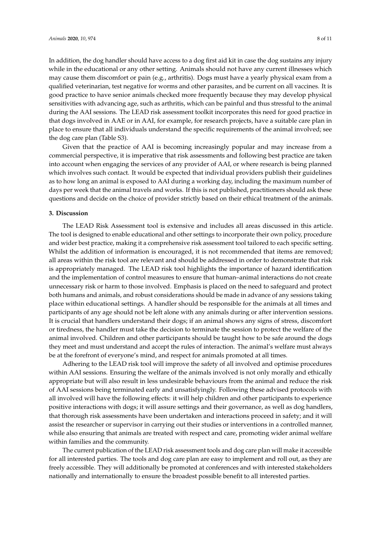In addition, the dog handler should have access to a dog first aid kit in case the dog sustains any injury while in the educational or any other setting. Animals should not have any current illnesses which may cause them discomfort or pain (e.g., arthritis). Dogs must have a yearly physical exam from a qualified veterinarian, test negative for worms and other parasites, and be current on all vaccines. It is good practice to have senior animals checked more frequently because they may develop physical sensitivities with advancing age, such as arthritis, which can be painful and thus stressful to the animal during the AAI sessions. The LEAD risk assessment toolkit incorporates this need for good practice in that dogs involved in AAE or in AAI, for example, for research projects, have a suitable care plan in place to ensure that all individuals understand the specific requirements of the animal involved; see the dog care plan (Table S3).

Given that the practice of AAI is becoming increasingly popular and may increase from a commercial perspective, it is imperative that risk assessments and following best practice are taken into account when engaging the services of any provider of AAI, or where research is being planned which involves such contact. It would be expected that individual providers publish their guidelines as to how long an animal is exposed to AAI during a working day, including the maximum number of days per week that the animal travels and works. If this is not published, practitioners should ask these questions and decide on the choice of provider strictly based on their ethical treatment of the animals.

# **3. Discussion**

The LEAD Risk Assessment tool is extensive and includes all areas discussed in this article. The tool is designed to enable educational and other settings to incorporate their own policy, procedure and wider best practice, making it a comprehensive risk assessment tool tailored to each specific setting. Whilst the addition of information is encouraged, it is not recommended that items are removed; all areas within the risk tool are relevant and should be addressed in order to demonstrate that risk is appropriately managed. The LEAD risk tool highlights the importance of hazard identification and the implementation of control measures to ensure that human–animal interactions do not create unnecessary risk or harm to those involved. Emphasis is placed on the need to safeguard and protect both humans and animals, and robust considerations should be made in advance of any sessions taking place within educational settings. A handler should be responsible for the animals at all times and participants of any age should not be left alone with any animals during or after intervention sessions. It is crucial that handlers understand their dogs; if an animal shows any signs of stress, discomfort or tiredness, the handler must take the decision to terminate the session to protect the welfare of the animal involved. Children and other participants should be taught how to be safe around the dogs they meet and must understand and accept the rules of interaction. The animal's welfare must always be at the forefront of everyone's mind, and respect for animals promoted at all times.

Adhering to the LEAD risk tool will improve the safety of all involved and optimise procedures within AAI sessions. Ensuring the welfare of the animals involved is not only morally and ethically appropriate but will also result in less undesirable behaviours from the animal and reduce the risk of AAI sessions being terminated early and unsatisfyingly. Following these advised protocols with all involved will have the following effects: it will help children and other participants to experience positive interactions with dogs; it will assure settings and their governance, as well as dog handlers, that thorough risk assessments have been undertaken and interactions proceed in safety; and it will assist the researcher or supervisor in carrying out their studies or interventions in a controlled manner, while also ensuring that animals are treated with respect and care, promoting wider animal welfare within families and the community.

The current publication of the LEAD risk assessment tools and dog care plan will make it accessible for all interested parties. The tools and dog care plan are easy to implement and roll out, as they are freely accessible. They will additionally be promoted at conferences and with interested stakeholders nationally and internationally to ensure the broadest possible benefit to all interested parties.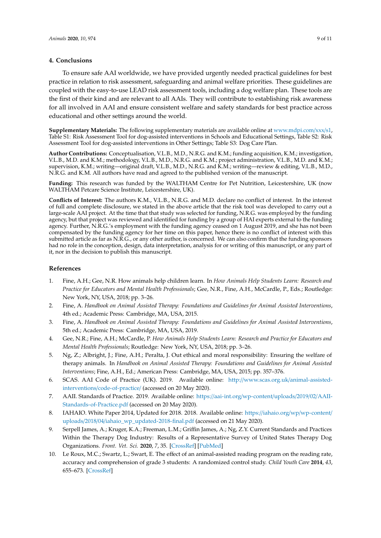#### **4. Conclusions**

To ensure safe AAI worldwide, we have provided urgently needed practical guidelines for best practice in relation to risk assessment, safeguarding and animal welfare priorities. These guidelines are coupled with the easy-to-use LEAD risk assessment tools, including a dog welfare plan. These tools are the first of their kind and are relevant to all AAIs. They will contribute to establishing risk awareness for all involved in AAI and ensure consistent welfare and safety standards for best practice across educational and other settings around the world.

**Supplementary Materials:** The following supplementary materials are available online at [www.mdpi.com](www.mdpi.com/xxx/s1)/xxx/s1, Table S1: Risk Assessment Tool for dog-assisted interventions in Schools and Educational Settings, Table S2: Risk Assessment Tool for dog-assisted interventions in Other Settings; Table S3: Dog Care Plan.

**Author Contributions:** Conceptualisation, V.L.B., M.D., N.R.G. and K.M.; funding acquisition, K.M.; investigation, V.L.B., M.D. and K.M.; methodology, V.L.B., M.D., N.R.G. and K.M.; project administration, V.L.B., M.D. and K.M.; supervision, K.M.; writing—original draft, V.L.B., M.D., N.R.G. and K.M.; writing—review & editing, V.L.B., M.D., N.R.G. and K.M. All authors have read and agreed to the published version of the manuscript.

**Funding:** This research was funded by the WALTHAM Centre for Pet Nutrition, Leicestershire, UK (now WALTHAM Petcare Science Institute, Leicestershire, UK).

**Conflicts of Interest:** The authors K.M., V.L.B., N.R.G. and M.D. declare no conflict of interest. In the interest of full and complete disclosure, we stated in the above article that the risk tool was developed to carry out a large-scale AAI project. At the time that that study was selected for funding, N.R.G. was employed by the funding agency, but that project was reviewed and identified for funding by a group of HAI experts external to the funding agency. Further, N.R.G.'s employment with the funding agency ceased on 1 August 2019, and she has not been compensated by the funding agency for her time on this paper, hence there is no conflict of interest with this submitted article as far as N.R.G., or any other author, is concerned. We can also confirm that the funding sponsors had no role in the conception, design, data interpretation, analysis for or writing of this manuscript, or any part of it, nor in the decision to publish this manuscript.

# **References**

- <span id="page-8-0"></span>1. Fine, A.H.; Gee, N.R. How animals help children learn. In *How Animals Help Students Learn: Research and Practice for Educators and Mental Health Professionals*; Gee, N.R., Fine, A.H., McCardle, P., Eds.; Routledge: New York, NY, USA, 2018; pp. 3–26.
- <span id="page-8-8"></span>2. Fine, A. *Handbook on Animal Assisted Therapy: Foundations and Guidelines for Animal Assisted Interventions*, 4th ed.; Academic Press: Cambridge, MA, USA, 2015.
- 3. Fine, A. *Handbook on Animal Assisted Therapy: Foundations and Guidelines for Animal Assisted Interventions*, 5th ed.; Academic Press: Cambridge, MA, USA, 2019.
- <span id="page-8-1"></span>4. Gee, N.R.; Fine, A.H.; McCardle, P. *How Animals Help Students Learn: Research and Practice for Educators and Mental Health Professionals*; Routledge: New York, NY, USA, 2018; pp. 3–26.
- <span id="page-8-2"></span>5. Ng, Z.; Albright, J.; Fine, A.H.; Peralta, J. Out ethical and moral responsibility: Ensuring the welfare of therapy animals. In *Handbook on Animal Assisted Therapy: Foundations and Guidelines for Animal Assisted Interventions*; Fine, A.H., Ed.; American Press: Cambridge, MA, USA, 2015; pp. 357–376.
- <span id="page-8-3"></span>6. SCAS. AAI Code of Practice (UK). 2019. Available online: http://[www.scas.org.uk](http://www.scas.org.uk/animal-assisted-interventions/code-of-practice/)/animal-assistedinterventions/[code-of-practice](http://www.scas.org.uk/animal-assisted-interventions/code-of-practice/)/ (accessed on 20 May 2020).
- <span id="page-8-4"></span>7. AAII. Standards of Practice. 2019. Available online: https://aai-int.org/[wp-content](https://aai-int.org/wp-content/uploads/2019/02/AAII-Standards-of-Practice.pdf)/uploads/2019/02/AAII-[Standards-of-Practice.pdf](https://aai-int.org/wp-content/uploads/2019/02/AAII-Standards-of-Practice.pdf) (accessed on 20 May 2020).
- <span id="page-8-5"></span>8. IAHAIO. White Paper 2014, Updated for 2018. 2018. Available online: https://iahaio.org/wp/[wp-content](https://iahaio.org/wp/wp-content/uploads/2018/04/iahaio_wp_updated-2018-final.pdf)/ uploads/2018/04/[iahaio\\_wp\\_updated-2018-final.pdf](https://iahaio.org/wp/wp-content/uploads/2018/04/iahaio_wp_updated-2018-final.pdf) (accessed on 21 May 2020).
- <span id="page-8-6"></span>9. Serpell James, A.; Kruger, K.A.; Freeman, L.M.; Griffin James, A.; Ng, Z.Y. Current Standards and Practices Within the Therapy Dog Industry: Results of a Representative Survey of United States Therapy Dog Organizations. *Front. Vet. Sci.* **2020**, *7*, 35. [\[CrossRef\]](http://dx.doi.org/10.3389/fvets.2020.00035) [\[PubMed\]](http://www.ncbi.nlm.nih.gov/pubmed/32118059)
- <span id="page-8-7"></span>10. Le Roux, M.C.; Swartz, L.; Swart, E. The effect of an animal-assisted reading program on the reading rate, accuracy and comprehension of grade 3 students: A randomized control study. *Child Youth Care* **2014**, *43*, 655–673. [\[CrossRef\]](http://dx.doi.org/10.1007/s10566-014-9262-1)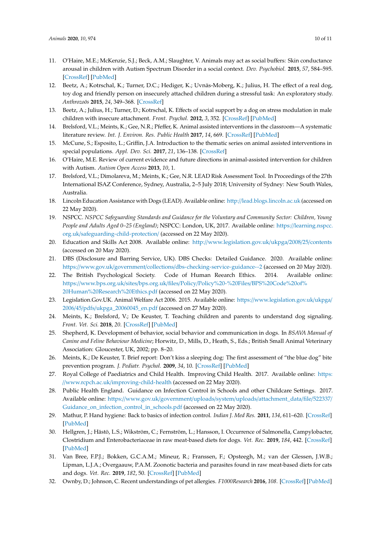- <span id="page-9-0"></span>11. O'Haire, M.E.; McKenzie, S.J.; Beck, A.M.; Slaughter, V. Animals may act as social buffers: Skin conductance arousal in children with Autism Spectrum Disorder in a social context. *Dev. Psychobiol.* **2015**, *57*, 584–595. [\[CrossRef\]](http://dx.doi.org/10.1002/dev.21310) [\[PubMed\]](http://www.ncbi.nlm.nih.gov/pubmed/25913902)
- <span id="page-9-1"></span>12. Beetz, A.; Kotrschal, K.; Turner, D.C.; Hediger, K.; Uvnäs-Moberg, K.; Julius, H. The effect of a real dog, toy dog and friendly person on insecurely attached children during a stressful task: An exploratory study. *Anthrozoös* **2015**, *24*, 349–368. [\[CrossRef\]](http://dx.doi.org/10.2752/175303711X13159027359746)
- <span id="page-9-2"></span>13. Beetz, A.; Julius, H.; Turner, D.; Kotrschal, K. Effects of social support by a dog on stress modulation in male children with insecure attachment. *Front. Psychol.* **2012**, *3*, 352. [\[CrossRef\]](http://dx.doi.org/10.3389/fpsyg.2012.00352) [\[PubMed\]](http://www.ncbi.nlm.nih.gov/pubmed/23162482)
- <span id="page-9-3"></span>14. Brelsford, V.L.; Meints, K.; Gee, N.R.; Pfeffer, K. Animal assisted interventions in the classroom—A systematic literature review. *Int. J. Environ. Res. Public Health* **2017**, *14*, 669. [\[CrossRef\]](http://dx.doi.org/10.3390/ijerph14070669) [\[PubMed\]](http://www.ncbi.nlm.nih.gov/pubmed/28640200)
- 15. McCune, S.; Esposito, L.; Griffin, J.A. Introduction to the thematic series on animal assisted interventions in special populations. *Appl. Dev. Sci.* **2017**, *21*, 136–138. [\[CrossRef\]](http://dx.doi.org/10.1080/10888691.2016.1252263)
- <span id="page-9-4"></span>16. O'Haire, M.E. Review of current evidence and future directions in animal-assisted intervention for children with Autism. *Autism Open Access* **2013**, *10*, 1.
- <span id="page-9-5"></span>17. Brelsford, V.L.; Dimolareva, M.; Meints, K.; Gee, N.R. LEAD Risk Assessment Tool. In Proceedings of the 27th International ISAZ Conference, Sydney, Australia, 2–5 July 2018; University of Sydney: New South Wales, Australia.
- <span id="page-9-6"></span>18. Lincoln Education Assistance with Dogs (LEAD). Available online: http://[lead.blogs.lincoln.ac.uk](http://lead.blogs.lincoln.ac.uk) (accessed on 22 May 2020).
- <span id="page-9-7"></span>19. NSPCC. *NSPCC Safeguarding Standards and Guidance for the Voluntary and Community Sector: Children, Young People and Adults Aged 0–25 (England)*; NSPCC: London, UK, 2017. Available online: https://[learning.nspcc.](https://learning.nspcc.org.uk/safeguarding-child-protection/) org.uk/[safeguarding-child-protection](https://learning.nspcc.org.uk/safeguarding-child-protection/)/ (accessed on 22 May 2020).
- <span id="page-9-8"></span>20. Education and Skills Act 2008. Available online: http://[www.legislation.gov.uk](http://www.legislation.gov.uk/ukpga/2008/25/contents)/ukpga/2008/25/contents (accessed on 20 May 2020).
- <span id="page-9-9"></span>21. DBS (Disclosure and Barring Service, UK). DBS Checks: Detailed Guidance. 2020. Available online: https://www.gov.uk/government/collections/[dbs-checking-service-guidance--2](https://www.gov.uk/government/collections/dbs-checking-service-guidance--2) (accessed on 20 May 2020).
- <span id="page-9-10"></span>22. The British Psychological Society. Code of Human Reearch Ethics. 2014. Available online: https://www.bps.org.uk/sites/bps.org.uk/files/Policy/Policy%20-%20Files/[BPS%20Code%20of%](https://www.bps.org.uk/sites/bps.org.uk/files/Policy/Policy%20-%20Files/BPS%20Code%20of%20Human%20Research%20Ethics.pdf) [20Human%20Research%20Ethics.pdf](https://www.bps.org.uk/sites/bps.org.uk/files/Policy/Policy%20-%20Files/BPS%20Code%20of%20Human%20Research%20Ethics.pdf) (accessed on 22 May 2020).
- <span id="page-9-11"></span>23. Legislation.Gov.UK. Animal Welfare Act 2006. 2015. Available online: https://[www.legislation.gov.uk](https://www.legislation.gov.uk/ukpga/2006/45/pdfs/ukpga_20060045_en.pdf)/ukpga/ 2006/45/pdfs/[ukpga\\_20060045\\_en.pdf](https://www.legislation.gov.uk/ukpga/2006/45/pdfs/ukpga_20060045_en.pdf) (accessed on 27 May 2020).
- <span id="page-9-12"></span>24. Meints, K.; Brelsford, V.; De Keuster, T. Teaching children and parents to understand dog signaling. *Front. Vet. Sci.* **2018**, *20*. [\[CrossRef\]](http://dx.doi.org/10.3389/fvets.2018.00257) [\[PubMed\]](http://www.ncbi.nlm.nih.gov/pubmed/30525045)
- <span id="page-9-13"></span>25. Shepherd, K. Development of behavior, social behavior and communication in dogs. In *BSAVA Manual of Canine and Feline Behaviour Medicine*; Horwitz, D., Mills, D., Heath, S., Eds.; British Small Animal Veterinary Association: Gloucester, UK, 2002; pp. 8–20.
- <span id="page-9-14"></span>26. Meints, K.; De Keuster, T. Brief report: Don't kiss a sleeping dog: The first assessment of "the blue dog" bite prevention program. *J. Pediatr. Psychol.* **2009**, *34*, 10. [\[CrossRef\]](http://dx.doi.org/10.1093/jpepsy/jsp053) [\[PubMed\]](http://www.ncbi.nlm.nih.gov/pubmed/19578138)
- <span id="page-9-15"></span>27. Royal College of Paediatrics and Child Health. Improving Child Health. 2017. Available online: [https:](https://www.rcpch.ac.uk/improving-child-health) //www.rcpch.ac.uk/[improving-child-health](https://www.rcpch.ac.uk/improving-child-health) (accessed on 22 May 2020).
- <span id="page-9-16"></span>28. Public Health England. Guidance on Infection Control in Schools and other Childcare Settings. 2017. Available online: https://www.gov.uk/government/uploads/system/uploads/[attachment\\_data](https://www.gov.uk/government/uploads/system/uploads/attachment_data/file/522337/Guidance_on_infection_control_in_schools.pdf)/file/522337/ [Guidance\\_on\\_infection\\_control\\_in\\_schools.pdf](https://www.gov.uk/government/uploads/system/uploads/attachment_data/file/522337/Guidance_on_infection_control_in_schools.pdf) (accessed on 22 May 2020).
- <span id="page-9-17"></span>29. Mathur, P. Hand hygiene: Back to basics of infection control. *Indian J. Med Res.* **2011**, *134*, 611–620. [\[CrossRef\]](http://dx.doi.org/10.4103/0971-5916.90985) [\[PubMed\]](http://www.ncbi.nlm.nih.gov/pubmed/22199099)
- <span id="page-9-18"></span>30. Hellgren, J.; Hästö, L.S.; Wikström, C.; Fernström, L.; Hansson, I. Occurrence of Salmonella, Campylobacter, Clostridium and Enterobacteriaceae in raw meat-based diets for dogs. *Vet. Rec.* **2019**, *184*, 442. [\[CrossRef\]](http://dx.doi.org/10.1136/vr.105199) [\[PubMed\]](http://www.ncbi.nlm.nih.gov/pubmed/30833301)
- <span id="page-9-19"></span>31. Van Bree, F.P.J.; Bokken, G.C.A.M.; Mineur, R.; Franssen, F.; Opsteegh, M.; van der Glessen, J.W.B.; Lipman, L.J.A.; Overgaauw, P.A.M. Zoonotic bacteria and parasites found in raw meat-based diets for cats and dogs. *Vet. Rec.* **2019**, *182*, 50. [\[CrossRef\]](http://dx.doi.org/10.1136/vr.104535) [\[PubMed\]](http://www.ncbi.nlm.nih.gov/pubmed/29326391)
- <span id="page-9-20"></span>32. Ownby, D.; Johnson, C. Recent understandings of pet allergies. *F1000Research* **2016**, *108*. [\[CrossRef\]](http://dx.doi.org/10.12688/f1000research.7044.1) [\[PubMed\]](http://www.ncbi.nlm.nih.gov/pubmed/26918180)